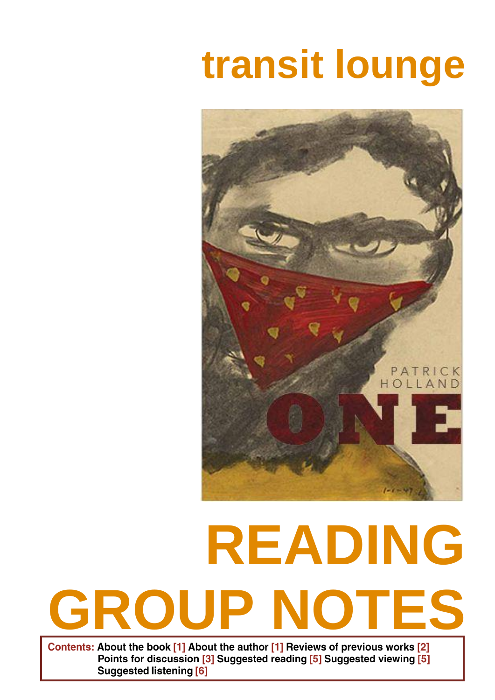# **transit lounge**



# **READING GROUP NOTES**

Contents: About the book [1] About the author [1] Reviews of previous works [2] Points for discussion [3] Suggested reading [5] Suggested viewing [5] **Suggested listening [6]**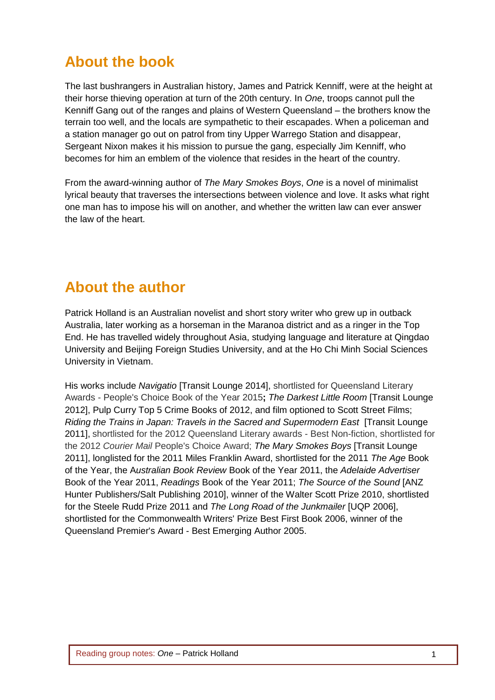#### **About the book**

The last bushrangers in Australian history, James and Patrick Kenniff, were at the height at their horse thieving operation at turn of the 20th century. In *One*, troops cannot pull the Kenniff Gang out of the ranges and plains of Western Queensland – the brothers know the terrain too well, and the locals are sympathetic to their escapades. When a policeman and a station manager go out on patrol from tiny Upper Warrego Station and disappear, Sergeant Nixon makes it his mission to pursue the gang, especially Jim Kenniff, who becomes for him an emblem of the violence that resides in the heart of the country.

From the award-winning author of *The Mary Smokes Boys*, *One* is a novel of minimalist lyrical beauty that traverses the intersections between violence and love. It asks what right one man has to impose his will on another, and whether the written law can ever answer the law of the heart.

#### **About the author**

Patrick Holland is an Australian novelist and short story writer who grew up in outback Australia, later working as a horseman in the Maranoa district and as a ringer in the Top End. He has travelled widely throughout Asia, studying language and literature at Qingdao University and Beijing Foreign Studies University, and at the Ho Chi Minh Social Sciences University in Vietnam.

His works include *Navigatio* [Transit Lounge 2014], shortlisted for Queensland Literary Awards - People's Choice Book of the Year 2015**;** *The Darkest Little Room* [Transit Lounge 2012], Pulp Curry Top 5 Crime Books of 2012, and film optioned to Scott Street Films; *Riding the Trains in Japan: Travels in the Sacred and Supermodern East* [Transit Lounge 2011], shortlisted for the 2012 Queensland Literary awards - Best Non-fiction, shortlisted for the 2012 *Courier Mail* People's Choice Award; *The Mary Smokes Boys* [Transit Lounge 2011], longlisted for the 2011 Miles Franklin Award, shortlisted for the 2011 *The Age* Book of the Year, the A*ustralian Book Review* Book of the Year 2011, the *Adelaide Advertiser* Book of the Year 2011, *Readings* Book of the Year 2011; *The Source of the Sound* [ANZ Hunter Publishers/Salt Publishing 2010], winner of the Walter Scott Prize 2010, shortlisted for the Steele Rudd Prize 2011 and *The Long Road of the Junkmailer* [UQP 2006], shortlisted for the Commonwealth Writers' Prize Best First Book 2006, winner of the Queensland Premier's Award - Best Emerging Author 2005.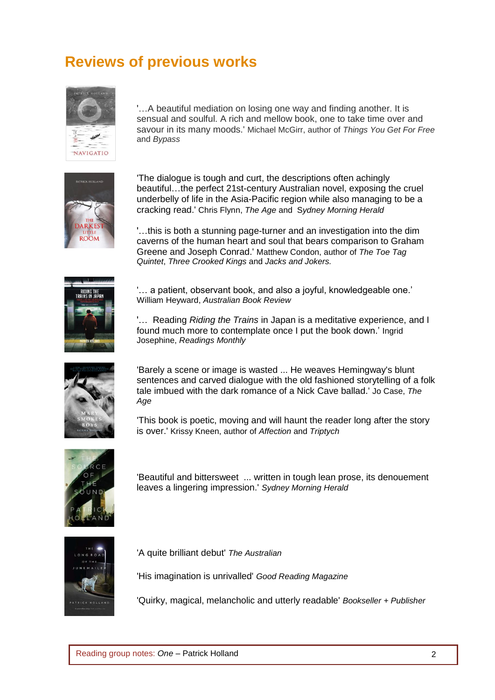#### **Reviews of previous works**



'…A beautiful mediation on losing one way and finding another. It is sensual and soulful. A rich and mellow book, one to take time over and savour in its many moods.' Michael McGirr, author of *Things You Get For Free* and *Bypass*



'The dialogue is tough and curt, the descriptions often achingly beautiful…the perfect 21st-century Australian novel, exposing the cruel underbelly of life in the Asia-Pacific region while also managing to be a cracking read.' Chris Flynn, *The Age* and S*ydney Morning Herald*

'…this is both a stunning page-turner and an investigation into the dim caverns of the human heart and soul that bears comparison to Graham Greene and Joseph Conrad.' Matthew Condon, author of *The Toe Tag Quintet*, *Three Crooked Kings* and *Jacks and Jokers.*



'… a patient, observant book, and also a joyful, knowledgeable one.' William Heyward, *Australian Book Review*

'… Reading *Riding the Trains* in Japan is a meditative experience, and I found much more to contemplate once I put the book down.' Ingrid Josephine, *Readings Monthly*



'Barely a scene or image is wasted ... He weaves Hemingway's blunt sentences and carved dialogue with the old fashioned storytelling of a folk tale imbued with the dark romance of a Nick Cave ballad.' Jo Case, *The Age*

'This book is poetic, moving and will haunt the reader long after the story is over.' Krissy Kneen, author of *Affection* and *Triptych*



'Beautiful and bittersweet ... written in tough lean prose, its denouement leaves a lingering impression.' *Sydney Morning Herald*



'A quite brilliant debut' *The Australian*

'His imagination is unrivalled' *Good Reading Magazine*

'Quirky, magical, melancholic and utterly readable' *Bookseller + Publisher*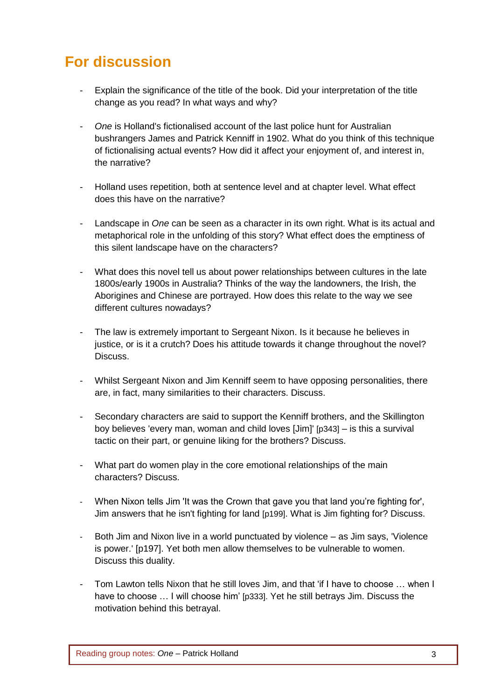### **For discussion**

- Explain the significance of the title of the book. Did your interpretation of the title change as you read? In what ways and why?
- *One* is Holland's fictionalised account of the last police hunt for Australian bushrangers James and Patrick Kenniff in 1902. What do you think of this technique of fictionalising actual events? How did it affect your enjoyment of, and interest in, the narrative?
- Holland uses repetition, both at sentence level and at chapter level. What effect does this have on the narrative?
- Landscape in *One* can be seen as a character in its own right. What is its actual and metaphorical role in the unfolding of this story? What effect does the emptiness of this silent landscape have on the characters?
- What does this novel tell us about power relationships between cultures in the late 1800s/early 1900s in Australia? Thinks of the way the landowners, the Irish, the Aborigines and Chinese are portrayed. How does this relate to the way we see different cultures nowadays?
- The law is extremely important to Sergeant Nixon. Is it because he believes in justice, or is it a crutch? Does his attitude towards it change throughout the novel? Discuss.
- Whilst Sergeant Nixon and Jim Kenniff seem to have opposing personalities, there are, in fact, many similarities to their characters. Discuss.
- Secondary characters are said to support the Kenniff brothers, and the Skillington boy believes 'every man, woman and child loves [Jim]' [p343] – is this a survival tactic on their part, or genuine liking for the brothers? Discuss.
- What part do women play in the core emotional relationships of the main characters? Discuss.
- When Nixon tells Jim 'It was the Crown that gave you that land you're fighting for', Jim answers that he isn't fighting for land [p199]. What is Jim fighting for? Discuss.
- Both Jim and Nixon live in a world punctuated by violence as Jim says, 'Violence is power.' [p197]. Yet both men allow themselves to be vulnerable to women. Discuss this duality.
- Tom Lawton tells Nixon that he still loves Jim, and that 'if I have to choose ... when I have to choose ... I will choose him' [p333]. Yet he still betrays Jim. Discuss the motivation behind this betrayal.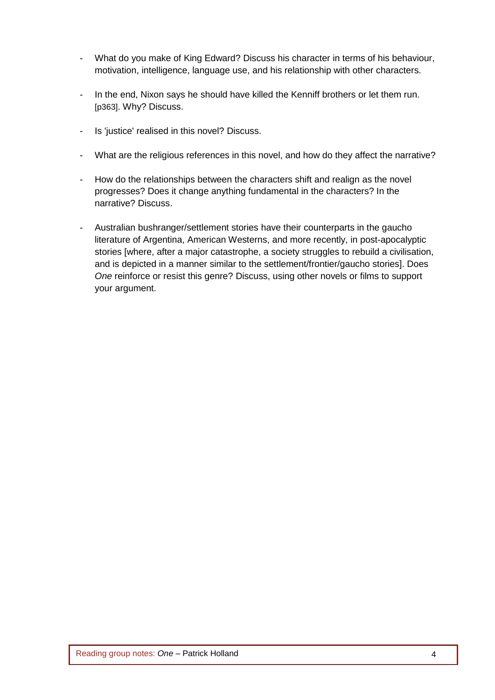- What do you make of King Edward? Discuss his character in terms of his behaviour, motivation, intelligence, language use, and his relationship with other characters.
- In the end, Nixon says he should have killed the Kenniff brothers or let them run. [p363]. Why? Discuss.
- Is 'justice' realised in this novel? Discuss.
- What are the religious references in this novel, and how do they affect the narrative?
- How do the relationships between the characters shift and realign as the novel progresses? Does it change anything fundamental in the characters? In the narrative? Discuss.
- Australian bushranger/settlement stories have their counterparts in the gaucho literature of Argentina, American Westerns, and more recently, in post-apocalyptic stories [where, after a major catastrophe, a society struggles to rebuild a civilisation, and is depicted in a manner similar to the settlement/frontier/gaucho stories]. Does *One* reinforce or resist this genre? Discuss, using other novels or films to support your argument.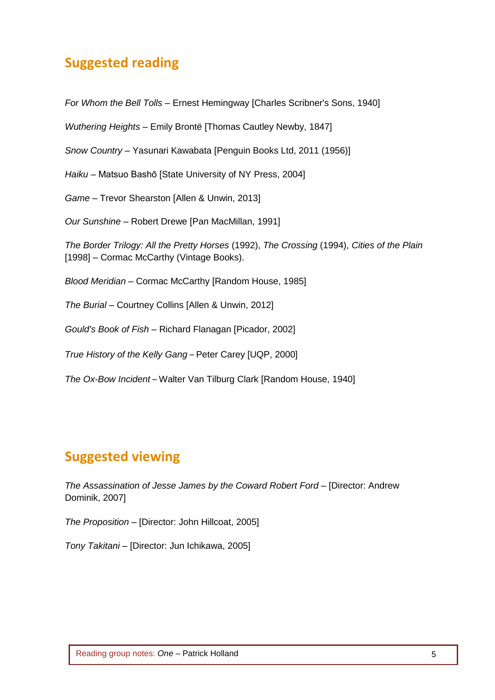#### **Suggested reading**

*For Whom the Bell Tolls –* Ernest Hemingway [Charles Scribner's Sons, 1940]

*Wuthering Heights –* Emily Brontë [Thomas Cautley Newby, 1847]

*Snow Country –* Yasunari Kawabata [Penguin Books Ltd, 2011 (1956)]

*Haiku –* Matsuo Bashō [State University of NY Press, 2004]

*Game* – Trevor Shearston [Allen & Unwin, 2013]

*Our Sunshine* – Robert Drewe [Pan MacMillan, 1991]

*The Border Trilogy: All the Pretty Horses* (1992), *The Crossing* (1994), *Cities of the Plain* [1998] – Cormac McCarthy (Vintage Books).

*Blood Meridian* – Cormac McCarthy [Random House, 1985]

*The Burial* – Courtney Collins [Allen & Unwin, 2012]

*Gould's Book of Fish* – Richard Flanagan [Picador, 2002]

*True History of the Kelly Gang* – Peter Carey [UQP, 2000]

*The Ox-Bow Incident* – Walter Van Tilburg Clark [Random House, 1940]

#### **Suggested viewing**

*The Assassination of Jesse James by the Coward Robert Ford* – [Director: Andrew Dominik, 2007]

*The Proposition* – [Director: John Hillcoat, 2005]

*Tony Takitani* – [Director: Jun Ichikawa, 2005]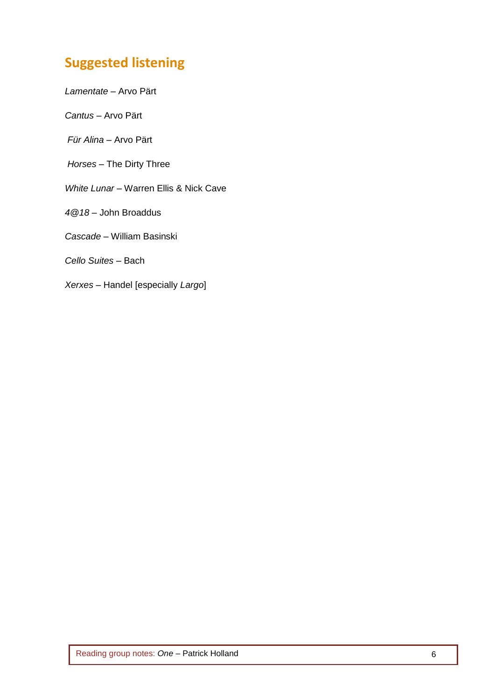## **Suggested listening**

*Lamentate* – Arvo Pärt

*Cantus* – Arvo Pärt

*Für Alina* – Arvo Pärt

*Horses* – The Dirty Three

*White Lunar* – Warren Ellis & Nick Cave

*4@18* – John Broaddus

*Cascade* – William Basinski

*Cello Suites* – Bach

*Xerxes* – Handel [especially *Largo*]